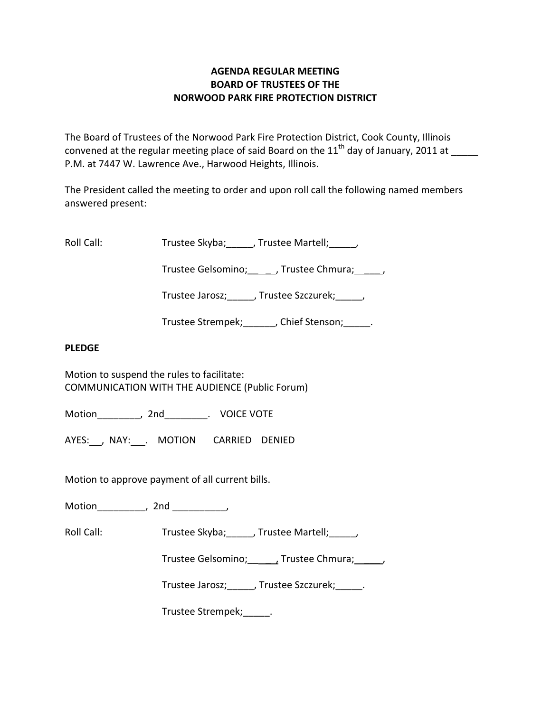# **AGENDA REGULAR MEETING BOARD OF TRUSTEES OF THE NORWOOD PARK FIRE PROTECTION DISTRICT**

The Board of Trustees of the Norwood Park Fire Protection District, Cook County, Illinois convened at the regular meeting place of said Board on the  $11<sup>th</sup>$  day of January, 2011 at P.M. at 7447 W. Lawrence Ave., Harwood Heights, Illinois.

The President called the meeting to order and upon roll call the following named members answered present:

Roll Call: Trustee Skyba; J. Trustee Martell; Trustee Martell;

Trustee Gelsomino; frustee Chmura;  $\qquad$ 

Trustee Jarosz; J. Trustee Szczurek; J.

Trustee Strempek; fight of Stenson; the Stenson;

## **PLEDGE**

Motion to suspend the rules to facilitate: COMMUNICATION WITH THE AUDIENCE (Public Forum)

Motion \_\_\_\_\_\_\_\_, 2nd \_\_\_\_\_\_\_\_. VOICE VOTE

AYES: NAY: MOTION CARRIED DENIED

Motion to approve payment of all current bills.

Motion\_\_\_\_\_\_\_\_\_, 2nd \_\_\_\_\_\_\_\_\_\_,

Roll Call: Trustee Skyba; J. Trustee Martell; Trustee Martell;

Trustee Gelsomino; \_\_\_\_\_, Trustee Chmura; \_\_\_\_\_\_,

Trustee Jarosz; Justee Szczurek; Latenberg

Trustee Strempek;\_\_\_\_\_.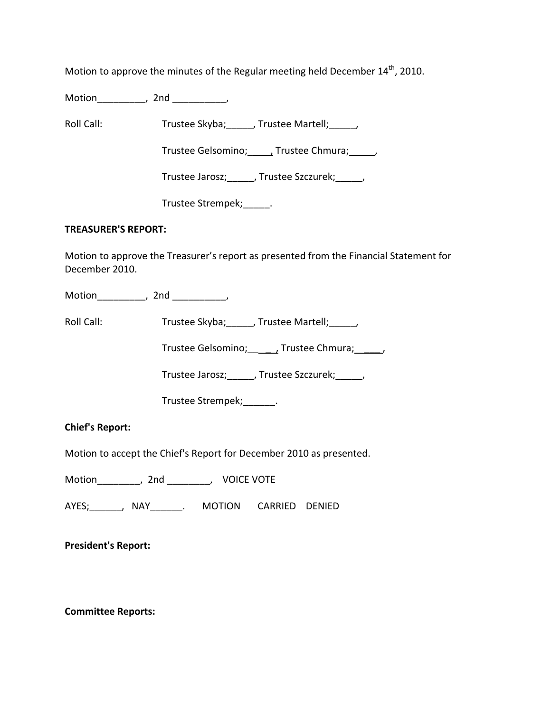Motion to approve the minutes of the Regular meeting held December  $14<sup>th</sup>$ , 2010.

Motion\_\_\_\_\_\_\_\_\_, 2nd \_\_\_\_\_\_\_\_\_\_,

Roll Call: Trustee Skyba; Trustee Martell; Trustee Martell;

Trustee Gelsomino; \_\_\_\_, Trustee Chmura; \_\_\_\_\_,

Trustee Jarosz;\_\_\_\_\_, Trustee Szczurek;\_\_\_\_\_,

Trustee Strempek; [11]

### **TREASURER'S REPORT:**

Motion to approve the Treasurer's report as presented from the Financial Statement for December 2010.

Motion\_\_\_\_\_\_\_\_\_, 2nd \_\_\_\_\_\_\_\_\_,

Roll Call: Trustee Skyba; Trustee Martell; Trustee Martell;

Trustee Gelsomino; \_\_\_\_\_\_, Trustee Chmura; \_\_\_\_\_\_,

Trustee Jarosz;\_\_\_\_\_, Trustee Szczurek;\_\_\_\_\_,

Trustee Strempek;\_\_\_\_\_\_.

**Chief's Report:**

Motion to accept the Chief's Report for December 2010 as presented.

Motion\_\_\_\_\_\_\_\_, 2nd \_\_\_\_\_\_\_\_, VOICE VOTE

AYES;\_\_\_\_\_\_, NAY\_\_\_\_\_\_. MOTION CARRIED DENIED

**President's Report:**

**Committee Reports:**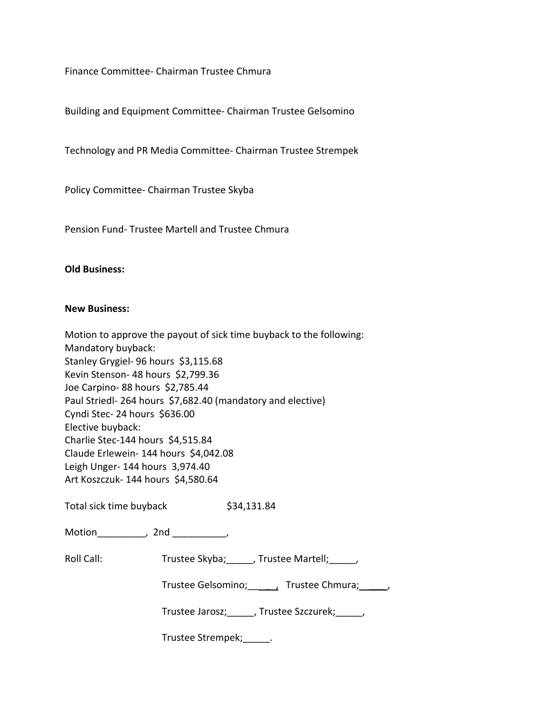Finance Committee‐ Chairman Trustee Chmura

Building and Equipment Committee‐ Chairman Trustee Gelsomino

Technology and PR Media Committee‐ Chairman Trustee Strempek

Policy Committee‐ Chairman Trustee Skyba

Pension Fund‐ Trustee Martell and Trustee Chmura

#### **Old Business:**

#### **New Business:**

| Motion to approve the payout of sick time buyback to the following: |
|---------------------------------------------------------------------|
| Mandatory buyback:                                                  |
| Stanley Grygiel- 96 hours \$3,115.68                                |
| Kevin Stenson-48 hours \$2,799.36                                   |
| Joe Carpino-88 hours \$2,785.44                                     |
| Paul Striedl-264 hours \$7,682.40 (mandatory and elective)          |
| Cyndi Stec- 24 hours \$636.00                                       |
| Elective buyback:                                                   |
| Charlie Stec-144 hours \$4,515.84                                   |
| Claude Erlewein- 144 hours \$4,042.08                               |
| Leigh Unger-144 hours 3,974.40                                      |
| Art Koszczuk- 144 hours \$4,580.64                                  |
|                                                                     |
|                                                                     |

Total sick time buyback \$34,131.84

| Motion |  | 2nd |  |
|--------|--|-----|--|
|--------|--|-----|--|

Roll Call: Trustee Skyba; \_\_\_\_, Trustee Martell; \_\_\_\_,

| Trustee Gelsomino; | Trustee Chmura; |  |
|--------------------|-----------------|--|
|--------------------|-----------------|--|

Trustee Jarosz;\_\_\_\_\_, Trustee Szczurek;\_\_\_\_\_,

Trustee Strempek;\_\_\_\_\_.